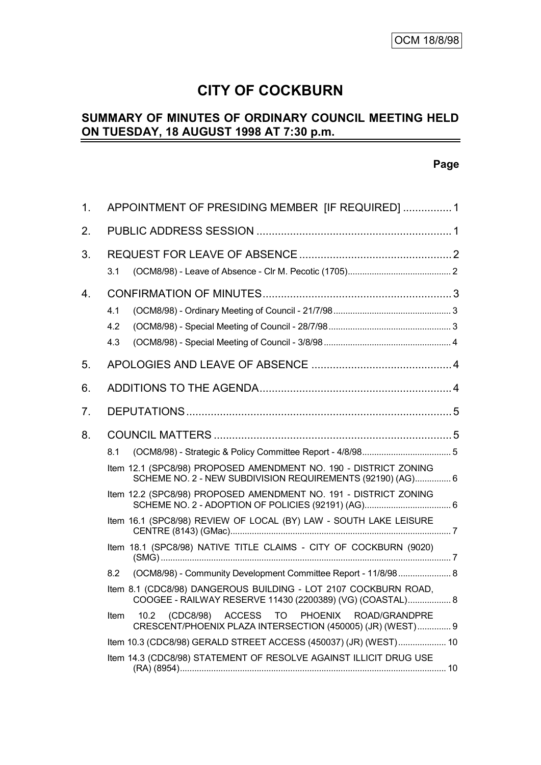# **CITY OF COCKBURN**

#### **SUMMARY OF MINUTES OF ORDINARY COUNCIL MEETING HELD ON TUESDAY, 18 AUGUST 1998 AT 7:30 p.m.** L,

#### **Page**

| 1. | APPOINTMENT OF PRESIDING MEMBER [IF REQUIRED]  1                                                                                                                                                                                                                                                                                                                                                         |  |  |  |
|----|----------------------------------------------------------------------------------------------------------------------------------------------------------------------------------------------------------------------------------------------------------------------------------------------------------------------------------------------------------------------------------------------------------|--|--|--|
| 2. |                                                                                                                                                                                                                                                                                                                                                                                                          |  |  |  |
| 3. | 3.1                                                                                                                                                                                                                                                                                                                                                                                                      |  |  |  |
| 4. | 4.1<br>4.2<br>4.3                                                                                                                                                                                                                                                                                                                                                                                        |  |  |  |
| 5. |                                                                                                                                                                                                                                                                                                                                                                                                          |  |  |  |
| 6. |                                                                                                                                                                                                                                                                                                                                                                                                          |  |  |  |
| 7. |                                                                                                                                                                                                                                                                                                                                                                                                          |  |  |  |
| 8. | 8.1<br>Item 12.1 (SPC8/98) PROPOSED AMENDMENT NO. 190 - DISTRICT ZONING<br>SCHEME NO. 2 - NEW SUBDIVISION REQUIREMENTS (92190) (AG) 6<br>Item 12.2 (SPC8/98) PROPOSED AMENDMENT NO. 191 - DISTRICT ZONING<br>Item 16.1 (SPC8/98) REVIEW OF LOCAL (BY) LAW - SOUTH LAKE LEISURE                                                                                                                           |  |  |  |
|    | Item 18.1 (SPC8/98) NATIVE TITLE CLAIMS - CITY OF COCKBURN (9020)<br>(OCM8/98) - Community Development Committee Report - 11/8/98 8<br>8.2<br>Item 8.1 (CDC8/98) DANGEROUS BUILDING - LOT 2107 COCKBURN ROAD,<br>COOGEE - RAILWAY RESERVE 11430 (2200389) (VG) (COASTAL) 8<br>10.2 (CDC8/98) ACCESS<br>TO PHOENIX<br>ROAD/GRANDPRE<br>Item<br>CRESCENT/PHOENIX PLAZA INTERSECTION (450005) (JR) (WEST) 9 |  |  |  |
|    | Item 10.3 (CDC8/98) GERALD STREET ACCESS (450037) (JR) (WEST) 10                                                                                                                                                                                                                                                                                                                                         |  |  |  |
|    | Item 14.3 (CDC8/98) STATEMENT OF RESOLVE AGAINST ILLICIT DRUG USE                                                                                                                                                                                                                                                                                                                                        |  |  |  |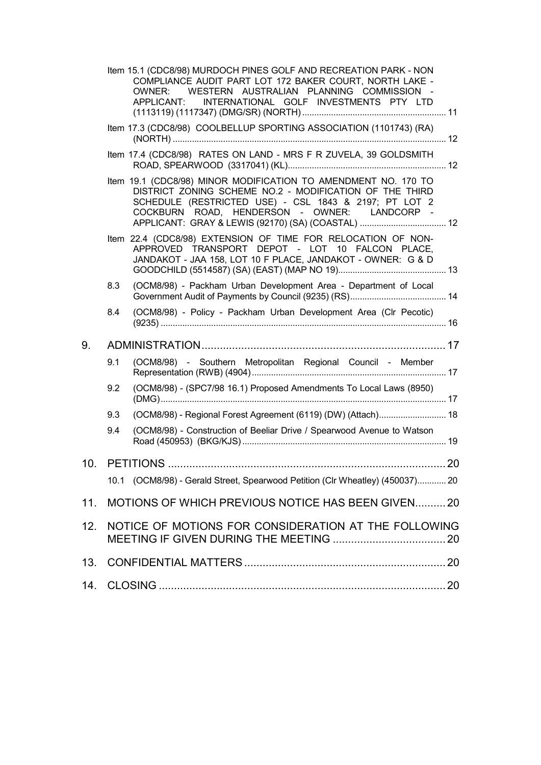|     |                                                      | Item 15.1 (CDC8/98) MURDOCH PINES GOLF AND RECREATION PARK - NON<br>COMPLIANCE AUDIT PART LOT 172 BAKER COURT, NORTH LAKE -<br>OWNER: WESTERN AUSTRALIAN PLANNING COMMISSION -<br>APPLICANT: INTERNATIONAL GOLF INVESTMENTS PTY LTD |  |  |  |
|-----|------------------------------------------------------|-------------------------------------------------------------------------------------------------------------------------------------------------------------------------------------------------------------------------------------|--|--|--|
|     |                                                      | Item 17.3 (CDC8/98) COOLBELLUP SPORTING ASSOCIATION (1101743) (RA)                                                                                                                                                                  |  |  |  |
|     |                                                      | Item 17.4 (CDC8/98) RATES ON LAND - MRS F R ZUVELA, 39 GOLDSMITH                                                                                                                                                                    |  |  |  |
|     |                                                      | Item 19.1 (CDC8/98) MINOR MODIFICATION TO AMENDMENT NO. 170 TO<br>DISTRICT ZONING SCHEME NO.2 - MODIFICATION OF THE THIRD<br>SCHEDULE (RESTRICTED USE) - CSL 1843 & 2197; PT LOT 2<br>COCKBURN ROAD, HENDERSON - OWNER: LANDCORP -  |  |  |  |
|     |                                                      | Item 22.4 (CDC8/98) EXTENSION OF TIME FOR RELOCATION OF NON-<br>APPROVED TRANSPORT DEPOT - LOT 10 FALCON PLACE,<br>JANDAKOT - JAA 158, LOT 10 F PLACE, JANDAKOT - OWNER: G & D                                                      |  |  |  |
|     | 8.3                                                  | (OCM8/98) - Packham Urban Development Area - Department of Local                                                                                                                                                                    |  |  |  |
|     | 8.4                                                  | (OCM8/98) - Policy - Packham Urban Development Area (Clr Pecotic)                                                                                                                                                                   |  |  |  |
| 9.  |                                                      |                                                                                                                                                                                                                                     |  |  |  |
|     | 9.1                                                  | (OCM8/98) - Southern Metropolitan Regional Council - Member                                                                                                                                                                         |  |  |  |
|     | 9.2                                                  | (OCM8/98) - (SPC7/98 16.1) Proposed Amendments To Local Laws (8950)                                                                                                                                                                 |  |  |  |
|     | 9.3                                                  | (OCM8/98) - Regional Forest Agreement (6119) (DW) (Attach) 18                                                                                                                                                                       |  |  |  |
|     | 9.4                                                  | (OCM8/98) - Construction of Beeliar Drive / Spearwood Avenue to Watson                                                                                                                                                              |  |  |  |
|     |                                                      |                                                                                                                                                                                                                                     |  |  |  |
|     |                                                      | 10.1 (OCM8/98) - Gerald Street, Spearwood Petition (Clr Wheatley) (450037) 20                                                                                                                                                       |  |  |  |
| 11. |                                                      | MOTIONS OF WHICH PREVIOUS NOTICE HAS BEEN GIVEN20                                                                                                                                                                                   |  |  |  |
| 12. | NOTICE OF MOTIONS FOR CONSIDERATION AT THE FOLLOWING |                                                                                                                                                                                                                                     |  |  |  |
| 13. |                                                      |                                                                                                                                                                                                                                     |  |  |  |
| 14. |                                                      |                                                                                                                                                                                                                                     |  |  |  |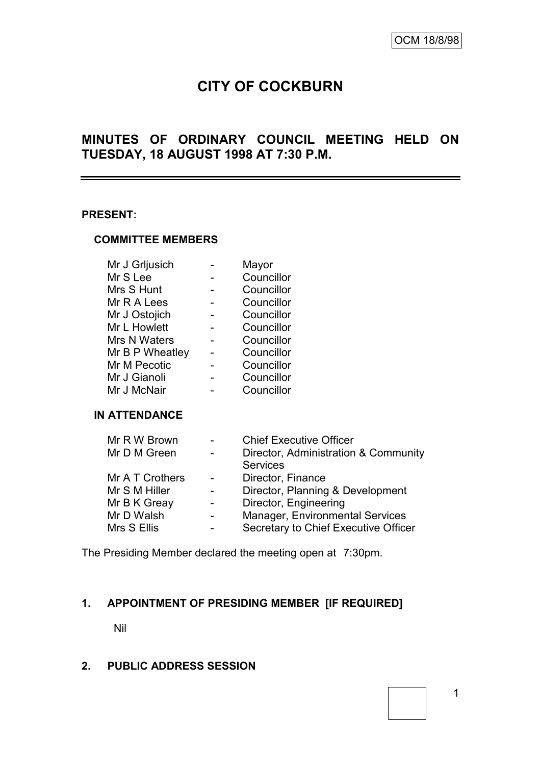# **CITY OF COCKBURN**

# **MINUTES OF ORDINARY COUNCIL MEETING HELD ON TUESDAY, 18 AUGUST 1998 AT 7:30 P.M.**

#### **PRESENT:**

#### **COMMITTEE MEMBERS**

| Mayor      |
|------------|
| Councillor |
| Councillor |
| Councillor |
| Councillor |
| Councillor |
| Councillor |
| Councillor |
| Councillor |
| Councillor |
| Councillor |
|            |

### **IN ATTENDANCE**

| Mr R W Brown    | $\overline{\phantom{a}}$ | <b>Chief Executive Officer</b>       |
|-----------------|--------------------------|--------------------------------------|
| Mr D M Green    |                          | Director, Administration & Community |
|                 |                          | <b>Services</b>                      |
| Mr A T Crothers | $\overline{\phantom{a}}$ | Director, Finance                    |
| Mr S M Hiller   |                          | Director, Planning & Development     |
| Mr B K Greay    |                          | Director, Engineering                |
| Mr D Walsh      | $\qquad \qquad$          | Manager, Environmental Services      |
| Mrs S Ellis     |                          | Secretary to Chief Executive Officer |

The Presiding Member declared the meeting open at 7:30pm.

# **1. APPOINTMENT OF PRESIDING MEMBER [IF REQUIRED]**

Nil

### **2. PUBLIC ADDRESS SESSION**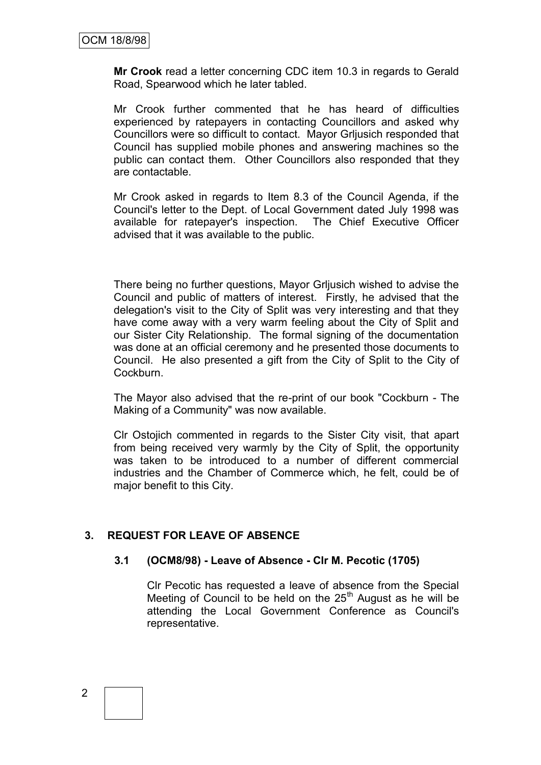**Mr Crook** read a letter concerning CDC item 10.3 in regards to Gerald Road, Spearwood which he later tabled.

Mr Crook further commented that he has heard of difficulties experienced by ratepayers in contacting Councillors and asked why Councillors were so difficult to contact. Mayor Grljusich responded that Council has supplied mobile phones and answering machines so the public can contact them. Other Councillors also responded that they are contactable.

Mr Crook asked in regards to Item 8.3 of the Council Agenda, if the Council's letter to the Dept. of Local Government dated July 1998 was available for ratepayer's inspection. The Chief Executive Officer advised that it was available to the public.

There being no further questions, Mayor Grljusich wished to advise the Council and public of matters of interest. Firstly, he advised that the delegation's visit to the City of Split was very interesting and that they have come away with a very warm feeling about the City of Split and our Sister City Relationship. The formal signing of the documentation was done at an official ceremony and he presented those documents to Council. He also presented a gift from the City of Split to the City of Cockburn.

The Mayor also advised that the re-print of our book "Cockburn - The Making of a Community" was now available.

Clr Ostojich commented in regards to the Sister City visit, that apart from being received very warmly by the City of Split, the opportunity was taken to be introduced to a number of different commercial industries and the Chamber of Commerce which, he felt, could be of major benefit to this City.

# **3. REQUEST FOR LEAVE OF ABSENCE**

### **3.1 (OCM8/98) - Leave of Absence - Clr M. Pecotic (1705)**

Clr Pecotic has requested a leave of absence from the Special Meeting of Council to be held on the  $25<sup>th</sup>$  August as he will be attending the Local Government Conference as Council's representative.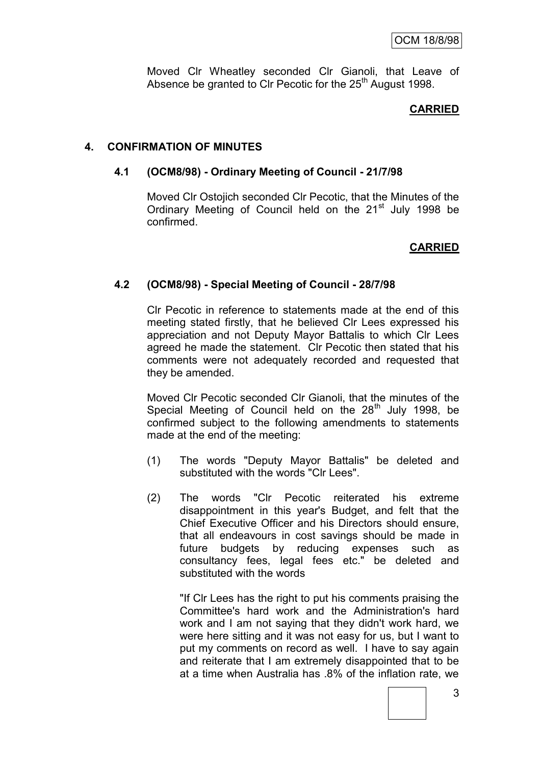Moved Clr Wheatley seconded Clr Gianoli, that Leave of Absence be granted to Clr Pecotic for the 25<sup>th</sup> August 1998.

### **CARRIED**

### **4. CONFIRMATION OF MINUTES**

### **4.1 (OCM8/98) - Ordinary Meeting of Council - 21/7/98**

Moved Clr Ostojich seconded Clr Pecotic, that the Minutes of the Ordinary Meeting of Council held on the 21<sup>st</sup> July 1998 be confirmed.

### **CARRIED**

### **4.2 (OCM8/98) - Special Meeting of Council - 28/7/98**

Clr Pecotic in reference to statements made at the end of this meeting stated firstly, that he believed Clr Lees expressed his appreciation and not Deputy Mayor Battalis to which Clr Lees agreed he made the statement. Clr Pecotic then stated that his comments were not adequately recorded and requested that they be amended.

Moved Clr Pecotic seconded Clr Gianoli, that the minutes of the Special Meeting of Council held on the  $28<sup>th</sup>$  July 1998, be confirmed subject to the following amendments to statements made at the end of the meeting:

- (1) The words "Deputy Mayor Battalis" be deleted and substituted with the words "Clr Lees".
- (2) The words "Clr Pecotic reiterated his extreme disappointment in this year's Budget, and felt that the Chief Executive Officer and his Directors should ensure, that all endeavours in cost savings should be made in future budgets by reducing expenses such as consultancy fees, legal fees etc." be deleted and substituted with the words

"If Clr Lees has the right to put his comments praising the Committee's hard work and the Administration's hard work and I am not saying that they didn't work hard, we were here sitting and it was not easy for us, but I want to put my comments on record as well. I have to say again and reiterate that I am extremely disappointed that to be at a time when Australia has .8% of the inflation rate, we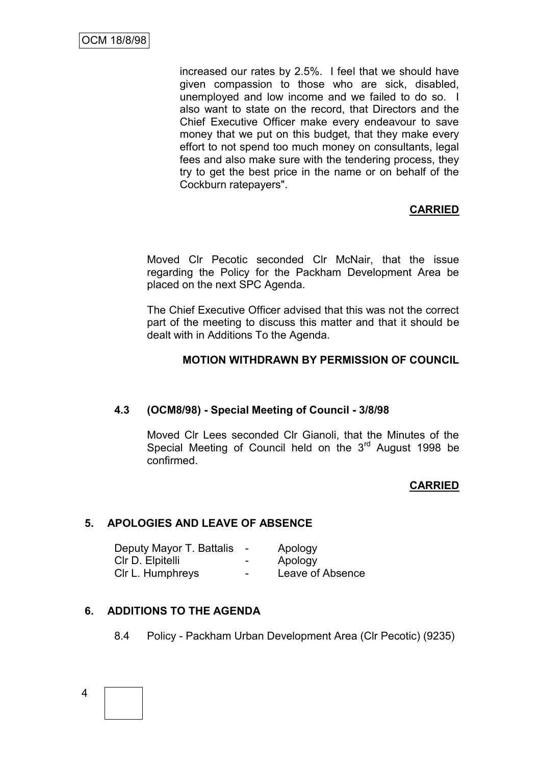increased our rates by 2.5%. I feel that we should have given compassion to those who are sick, disabled, unemployed and low income and we failed to do so. I also want to state on the record, that Directors and the Chief Executive Officer make every endeavour to save money that we put on this budget, that they make every effort to not spend too much money on consultants, legal fees and also make sure with the tendering process, they try to get the best price in the name or on behalf of the Cockburn ratepayers".

# **CARRIED**

Moved Clr Pecotic seconded Clr McNair, that the issue regarding the Policy for the Packham Development Area be placed on the next SPC Agenda.

The Chief Executive Officer advised that this was not the correct part of the meeting to discuss this matter and that it should be dealt with in Additions To the Agenda.

### **MOTION WITHDRAWN BY PERMISSION OF COUNCIL**

### **4.3 (OCM8/98) - Special Meeting of Council - 3/8/98**

Moved Clr Lees seconded Clr Gianoli, that the Minutes of the Special Meeting of Council held on the 3<sup>rd</sup> August 1998 be confirmed.

### **CARRIED**

### **5. APOLOGIES AND LEAVE OF ABSENCE**

| Deputy Mayor T. Battalis | $\overline{\phantom{0}}$ | Apology          |
|--------------------------|--------------------------|------------------|
| CIr D. Elpitelli         | $\overline{\phantom{a}}$ | Apology          |
| CIr L. Humphreys         | $\overline{\phantom{a}}$ | Leave of Absence |

### **6. ADDITIONS TO THE AGENDA**

8.4 Policy - Packham Urban Development Area (Clr Pecotic) (9235)

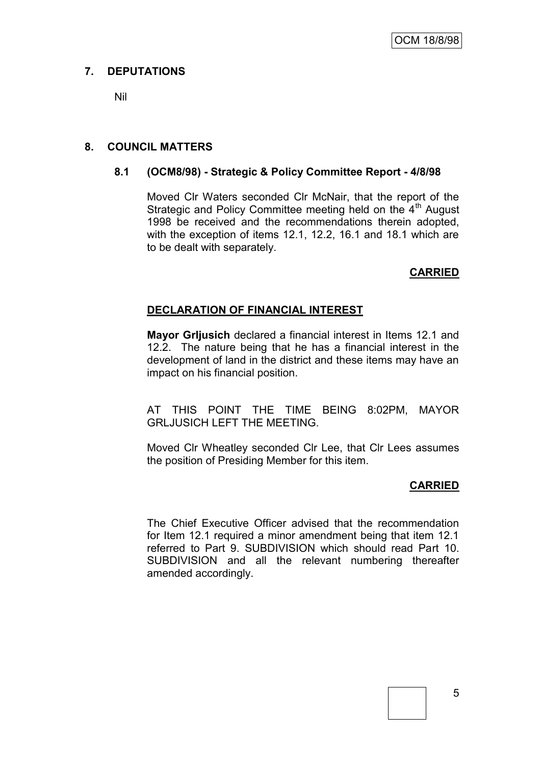# **7. DEPUTATIONS**

Nil

# **8. COUNCIL MATTERS**

### **8.1 (OCM8/98) - Strategic & Policy Committee Report - 4/8/98**

Moved Clr Waters seconded Clr McNair, that the report of the Strategic and Policy Committee meeting held on the 4<sup>th</sup> August 1998 be received and the recommendations therein adopted, with the exception of items 12.1, 12.2, 16.1 and 18.1 which are to be dealt with separately.

# **CARRIED**

# **DECLARATION OF FINANCIAL INTEREST**

**Mayor Grljusich** declared a financial interest in Items 12.1 and 12.2. The nature being that he has a financial interest in the development of land in the district and these items may have an impact on his financial position.

AT THIS POINT THE TIME BEING 8:02PM, MAYOR GRLJUSICH LEFT THE MEETING.

Moved Clr Wheatley seconded Clr Lee, that Clr Lees assumes the position of Presiding Member for this item.

# **CARRIED**

The Chief Executive Officer advised that the recommendation for Item 12.1 required a minor amendment being that item 12.1 referred to Part 9. SUBDIVISION which should read Part 10. SUBDIVISION and all the relevant numbering thereafter amended accordingly.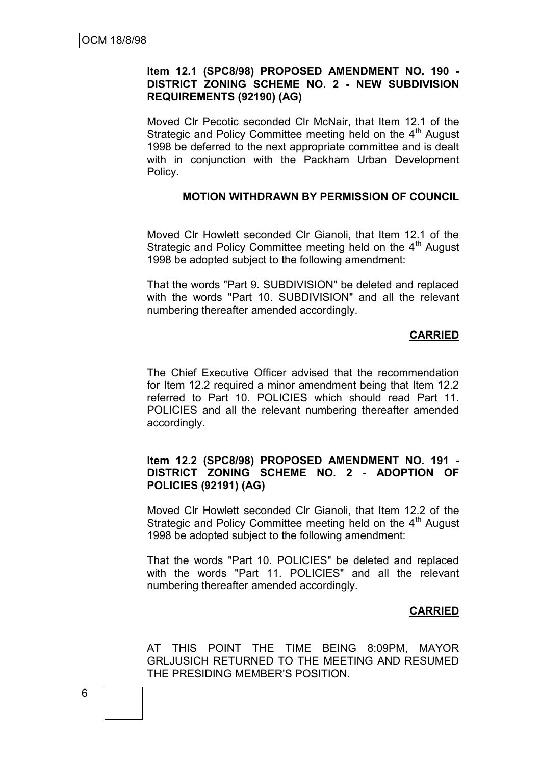### **Item 12.1 (SPC8/98) PROPOSED AMENDMENT NO. 190 - DISTRICT ZONING SCHEME NO. 2 - NEW SUBDIVISION REQUIREMENTS (92190) (AG)**

Moved Clr Pecotic seconded Clr McNair, that Item 12.1 of the Strategic and Policy Committee meeting held on the  $4<sup>th</sup>$  August 1998 be deferred to the next appropriate committee and is dealt with in conjunction with the Packham Urban Development Policy.

#### **MOTION WITHDRAWN BY PERMISSION OF COUNCIL**

Moved Clr Howlett seconded Clr Gianoli, that Item 12.1 of the Strategic and Policy Committee meeting held on the 4<sup>th</sup> August 1998 be adopted subject to the following amendment:

That the words "Part 9. SUBDIVISION" be deleted and replaced with the words "Part 10. SUBDIVISION" and all the relevant numbering thereafter amended accordingly.

### **CARRIED**

The Chief Executive Officer advised that the recommendation for Item 12.2 required a minor amendment being that Item 12.2 referred to Part 10. POLICIES which should read Part 11. POLICIES and all the relevant numbering thereafter amended accordingly.

### **Item 12.2 (SPC8/98) PROPOSED AMENDMENT NO. 191 - DISTRICT ZONING SCHEME NO. 2 - ADOPTION OF POLICIES (92191) (AG)**

Moved Clr Howlett seconded Clr Gianoli, that Item 12.2 of the Strategic and Policy Committee meeting held on the  $4<sup>th</sup>$  August 1998 be adopted subject to the following amendment:

That the words "Part 10. POLICIES" be deleted and replaced with the words "Part 11. POLICIES" and all the relevant numbering thereafter amended accordingly.

### **CARRIED**

AT THIS POINT THE TIME BEING 8:09PM, MAYOR GRLJUSICH RETURNED TO THE MEETING AND RESUMED THE PRESIDING MEMBER'S POSITION.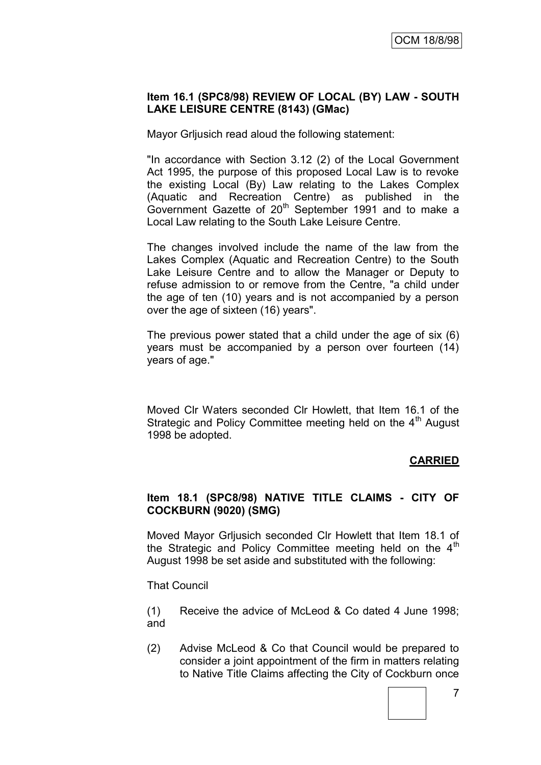### **Item 16.1 (SPC8/98) REVIEW OF LOCAL (BY) LAW - SOUTH LAKE LEISURE CENTRE (8143) (GMac)**

Mayor Grljusich read aloud the following statement:

"In accordance with Section 3.12 (2) of the Local Government Act 1995, the purpose of this proposed Local Law is to revoke the existing Local (By) Law relating to the Lakes Complex (Aquatic and Recreation Centre) as published in the Government Gazette of 20<sup>th</sup> September 1991 and to make a Local Law relating to the South Lake Leisure Centre.

The changes involved include the name of the law from the Lakes Complex (Aquatic and Recreation Centre) to the South Lake Leisure Centre and to allow the Manager or Deputy to refuse admission to or remove from the Centre, "a child under the age of ten (10) years and is not accompanied by a person over the age of sixteen (16) years".

The previous power stated that a child under the age of six (6) years must be accompanied by a person over fourteen (14) years of age."

Moved Clr Waters seconded Clr Howlett, that Item 16.1 of the Strategic and Policy Committee meeting held on the 4<sup>th</sup> August 1998 be adopted.

# **CARRIED**

### **Item 18.1 (SPC8/98) NATIVE TITLE CLAIMS - CITY OF COCKBURN (9020) (SMG)**

Moved Mayor Grljusich seconded Clr Howlett that Item 18.1 of the Strategic and Policy Committee meeting held on the  $4<sup>th</sup>$ August 1998 be set aside and substituted with the following:

That Council

- (1) Receive the advice of McLeod & Co dated 4 June 1998; and
- (2) Advise McLeod & Co that Council would be prepared to consider a joint appointment of the firm in matters relating to Native Title Claims affecting the City of Cockburn once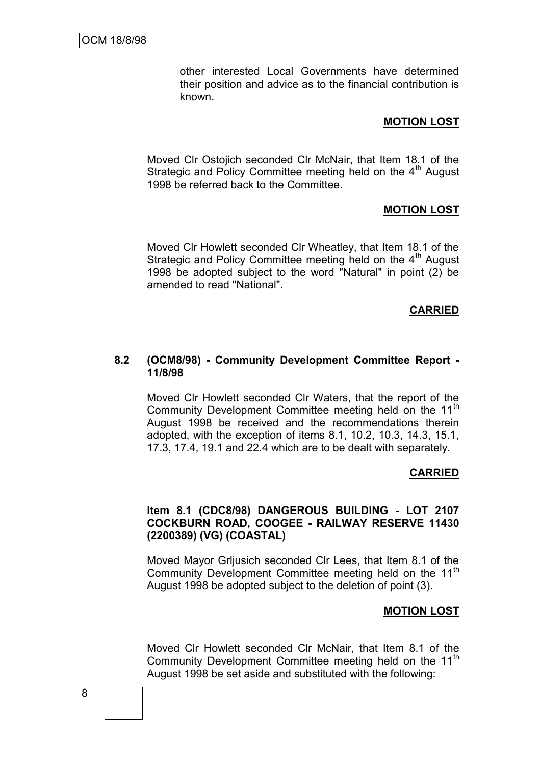other interested Local Governments have determined their position and advice as to the financial contribution is known.

#### **MOTION LOST**

Moved Clr Ostojich seconded Clr McNair, that Item 18.1 of the Strategic and Policy Committee meeting held on the  $4<sup>th</sup>$  August 1998 be referred back to the Committee.

#### **MOTION LOST**

Moved Clr Howlett seconded Clr Wheatley, that Item 18.1 of the Strategic and Policy Committee meeting held on the  $4<sup>th</sup>$  August 1998 be adopted subject to the word "Natural" in point (2) be amended to read "National".

#### **CARRIED**

#### **8.2 (OCM8/98) - Community Development Committee Report - 11/8/98**

Moved Clr Howlett seconded Clr Waters, that the report of the Community Development Committee meeting held on the 11<sup>th</sup> August 1998 be received and the recommendations therein adopted, with the exception of items 8.1, 10.2, 10.3, 14.3, 15.1, 17.3, 17.4, 19.1 and 22.4 which are to be dealt with separately.

#### **CARRIED**

#### **Item 8.1 (CDC8/98) DANGEROUS BUILDING - LOT 2107 COCKBURN ROAD, COOGEE - RAILWAY RESERVE 11430 (2200389) (VG) (COASTAL)**

Moved Mayor Grljusich seconded Clr Lees, that Item 8.1 of the Community Development Committee meeting held on the 11<sup>th</sup> August 1998 be adopted subject to the deletion of point (3).

#### **MOTION LOST**

Moved Clr Howlett seconded Clr McNair, that Item 8.1 of the Community Development Committee meeting held on the 11<sup>th</sup> August 1998 be set aside and substituted with the following: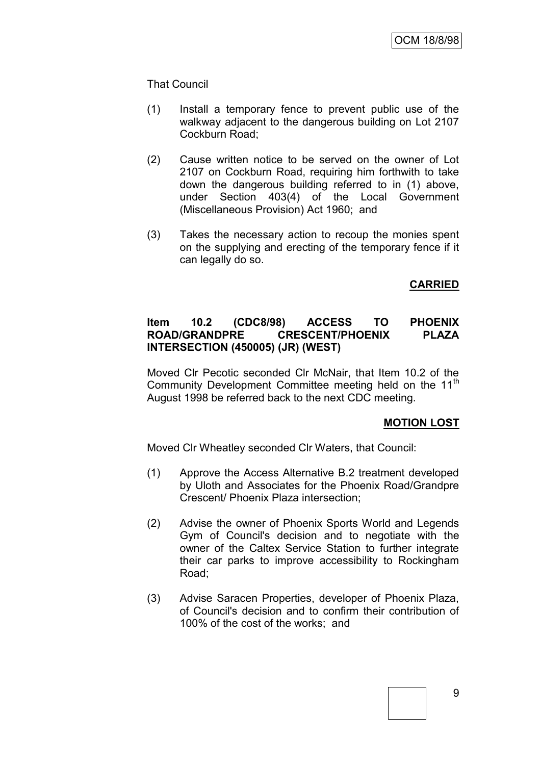### That Council

- (1) Install a temporary fence to prevent public use of the walkway adjacent to the dangerous building on Lot 2107 Cockburn Road;
- (2) Cause written notice to be served on the owner of Lot 2107 on Cockburn Road, requiring him forthwith to take down the dangerous building referred to in (1) above, under Section 403(4) of the Local Government (Miscellaneous Provision) Act 1960; and
- (3) Takes the necessary action to recoup the monies spent on the supplying and erecting of the temporary fence if it can legally do so.

# **CARRIED**

### **Item 10.2 (CDC8/98) ACCESS TO PHOENIX ROAD/GRANDPRE CRESCENT/PHOENIX PLAZA INTERSECTION (450005) (JR) (WEST)**

Moved Clr Pecotic seconded Clr McNair, that Item 10.2 of the Community Development Committee meeting held on the 11<sup>th</sup> August 1998 be referred back to the next CDC meeting.

### **MOTION LOST**

Moved Clr Wheatley seconded Clr Waters, that Council:

- (1) Approve the Access Alternative B.2 treatment developed by Uloth and Associates for the Phoenix Road/Grandpre Crescent/ Phoenix Plaza intersection;
- (2) Advise the owner of Phoenix Sports World and Legends Gym of Council's decision and to negotiate with the owner of the Caltex Service Station to further integrate their car parks to improve accessibility to Rockingham Road;
- (3) Advise Saracen Properties, developer of Phoenix Plaza, of Council's decision and to confirm their contribution of 100% of the cost of the works; and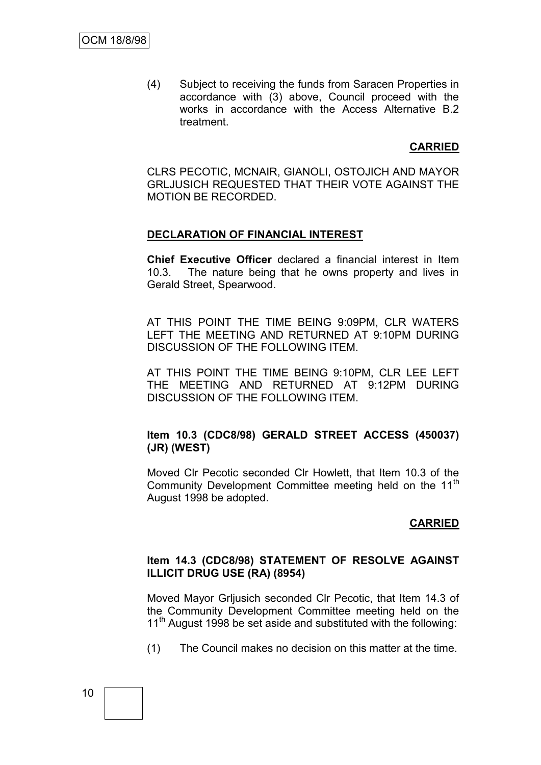(4) Subject to receiving the funds from Saracen Properties in accordance with (3) above, Council proceed with the works in accordance with the Access Alternative B.2 treatment.

# **CARRIED**

CLRS PECOTIC, MCNAIR, GIANOLI, OSTOJICH AND MAYOR GRLJUSICH REQUESTED THAT THEIR VOTE AGAINST THE MOTION BE RECORDED.

### **DECLARATION OF FINANCIAL INTEREST**

**Chief Executive Officer** declared a financial interest in Item 10.3. The nature being that he owns property and lives in Gerald Street, Spearwood.

AT THIS POINT THE TIME BEING 9:09PM, CLR WATERS LEFT THE MEETING AND RETURNED AT 9:10PM DURING DISCUSSION OF THE FOLLOWING ITEM.

AT THIS POINT THE TIME BEING 9:10PM, CLR LEE LEFT THE MEETING AND RETURNED AT 9:12PM DURING DISCUSSION OF THE FOLLOWING ITEM.

### **Item 10.3 (CDC8/98) GERALD STREET ACCESS (450037) (JR) (WEST)**

Moved Clr Pecotic seconded Clr Howlett, that Item 10.3 of the Community Development Committee meeting held on the 11<sup>th</sup> August 1998 be adopted.

### **CARRIED**

#### **Item 14.3 (CDC8/98) STATEMENT OF RESOLVE AGAINST ILLICIT DRUG USE (RA) (8954)**

Moved Mayor Grljusich seconded Clr Pecotic, that Item 14.3 of the Community Development Committee meeting held on the 11<sup>th</sup> August 1998 be set aside and substituted with the following:

(1) The Council makes no decision on this matter at the time.

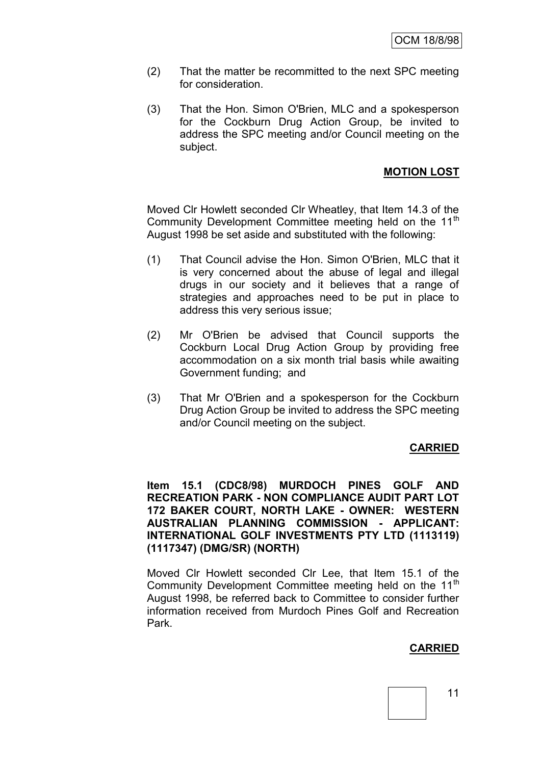- (2) That the matter be recommitted to the next SPC meeting for consideration.
- (3) That the Hon. Simon O'Brien, MLC and a spokesperson for the Cockburn Drug Action Group, be invited to address the SPC meeting and/or Council meeting on the subject.

### **MOTION LOST**

Moved Clr Howlett seconded Clr Wheatley, that Item 14.3 of the Community Development Committee meeting held on the 11<sup>th</sup> August 1998 be set aside and substituted with the following:

- (1) That Council advise the Hon. Simon O'Brien, MLC that it is very concerned about the abuse of legal and illegal drugs in our society and it believes that a range of strategies and approaches need to be put in place to address this very serious issue;
- (2) Mr O'Brien be advised that Council supports the Cockburn Local Drug Action Group by providing free accommodation on a six month trial basis while awaiting Government funding; and
- (3) That Mr O'Brien and a spokesperson for the Cockburn Drug Action Group be invited to address the SPC meeting and/or Council meeting on the subject.

### **CARRIED**

**Item 15.1 (CDC8/98) MURDOCH PINES GOLF AND RECREATION PARK - NON COMPLIANCE AUDIT PART LOT 172 BAKER COURT, NORTH LAKE - OWNER: WESTERN AUSTRALIAN PLANNING COMMISSION - APPLICANT: INTERNATIONAL GOLF INVESTMENTS PTY LTD (1113119) (1117347) (DMG/SR) (NORTH)**

Moved Clr Howlett seconded Clr Lee, that Item 15.1 of the Community Development Committee meeting held on the 11<sup>th</sup> August 1998, be referred back to Committee to consider further information received from Murdoch Pines Golf and Recreation Park.

### **CARRIED**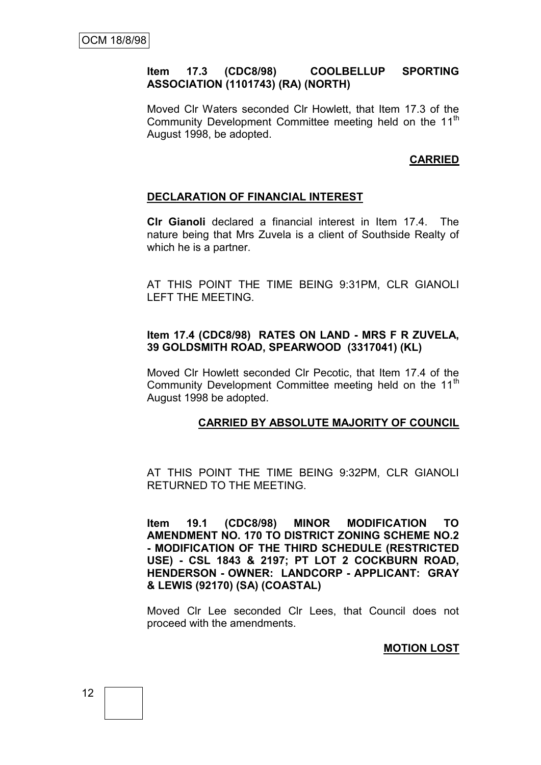#### **Item 17.3 (CDC8/98) COOLBELLUP SPORTING ASSOCIATION (1101743) (RA) (NORTH)**

Moved Clr Waters seconded Clr Howlett, that Item 17.3 of the Community Development Committee meeting held on the 11<sup>th</sup> August 1998, be adopted.

# **CARRIED**

#### **DECLARATION OF FINANCIAL INTEREST**

**Clr Gianoli** declared a financial interest in Item 17.4. The nature being that Mrs Zuvela is a client of Southside Realty of which he is a partner.

AT THIS POINT THE TIME BEING 9:31PM, CLR GIANOLI LEFT THE MEETING.

#### **Item 17.4 (CDC8/98) RATES ON LAND - MRS F R ZUVELA, 39 GOLDSMITH ROAD, SPEARWOOD (3317041) (KL)**

Moved Clr Howlett seconded Clr Pecotic, that Item 17.4 of the Community Development Committee meeting held on the  $11<sup>m</sup>$ August 1998 be adopted.

#### **CARRIED BY ABSOLUTE MAJORITY OF COUNCIL**

AT THIS POINT THE TIME BEING 9:32PM, CLR GIANOLI RETURNED TO THE MEETING.

**Item 19.1 (CDC8/98) MINOR MODIFICATION TO AMENDMENT NO. 170 TO DISTRICT ZONING SCHEME NO.2 - MODIFICATION OF THE THIRD SCHEDULE (RESTRICTED USE) - CSL 1843 & 2197; PT LOT 2 COCKBURN ROAD, HENDERSON - OWNER: LANDCORP - APPLICANT: GRAY & LEWIS (92170) (SA) (COASTAL)**

Moved Clr Lee seconded Clr Lees, that Council does not proceed with the amendments.

**MOTION LOST**

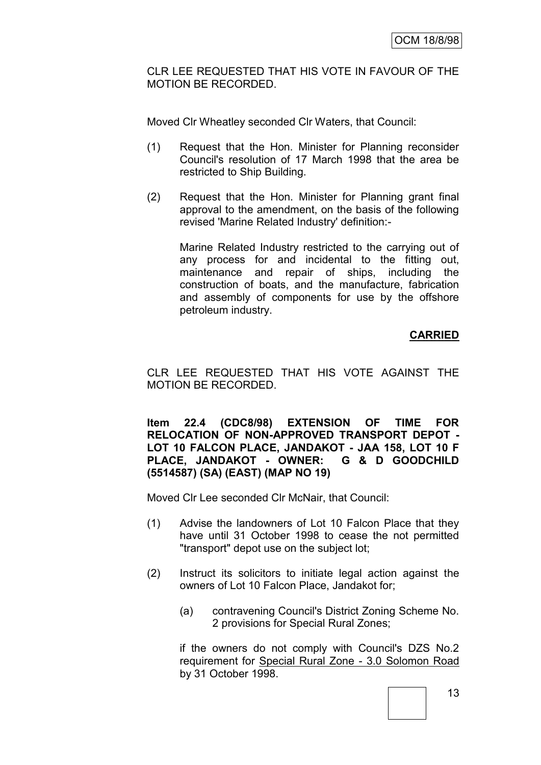CLR LEE REQUESTED THAT HIS VOTE IN FAVOUR OF THE MOTION BE RECORDED.

Moved Clr Wheatley seconded Clr Waters, that Council:

- (1) Request that the Hon. Minister for Planning reconsider Council's resolution of 17 March 1998 that the area be restricted to Ship Building.
- (2) Request that the Hon. Minister for Planning grant final approval to the amendment, on the basis of the following revised 'Marine Related Industry' definition:-

Marine Related Industry restricted to the carrying out of any process for and incidental to the fitting out, maintenance and repair of ships, including the construction of boats, and the manufacture, fabrication and assembly of components for use by the offshore petroleum industry.

# **CARRIED**

CLR LEE REQUESTED THAT HIS VOTE AGAINST THE MOTION BE RECORDED.

**Item 22.4 (CDC8/98) EXTENSION OF TIME FOR RELOCATION OF NON-APPROVED TRANSPORT DEPOT - LOT 10 FALCON PLACE, JANDAKOT - JAA 158, LOT 10 F PLACE, JANDAKOT - OWNER: G & D GOODCHILD (5514587) (SA) (EAST) (MAP NO 19)**

Moved Clr Lee seconded Clr McNair, that Council:

- (1) Advise the landowners of Lot 10 Falcon Place that they have until 31 October 1998 to cease the not permitted "transport" depot use on the subject lot;
- (2) Instruct its solicitors to initiate legal action against the owners of Lot 10 Falcon Place, Jandakot for;
	- (a) contravening Council's District Zoning Scheme No. 2 provisions for Special Rural Zones;

if the owners do not comply with Council's DZS No.2 requirement for Special Rural Zone - 3.0 Solomon Road by 31 October 1998.

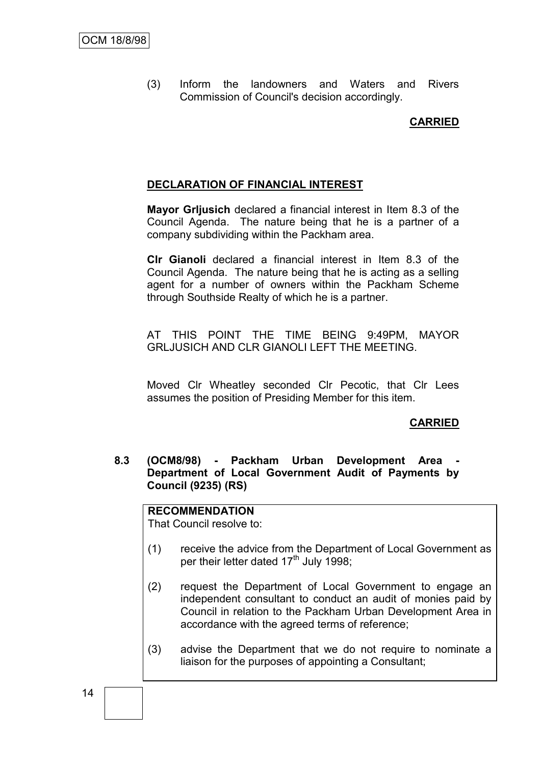(3) Inform the landowners and Waters and Rivers Commission of Council's decision accordingly.

### **CARRIED**

### **DECLARATION OF FINANCIAL INTEREST**

**Mayor Grljusich** declared a financial interest in Item 8.3 of the Council Agenda. The nature being that he is a partner of a company subdividing within the Packham area.

**Clr Gianoli** declared a financial interest in Item 8.3 of the Council Agenda. The nature being that he is acting as a selling agent for a number of owners within the Packham Scheme through Southside Realty of which he is a partner.

AT THIS POINT THE TIME BEING 9:49PM, MAYOR GRLJUSICH AND CLR GIANOLI LEFT THE MEETING.

Moved Clr Wheatley seconded Clr Pecotic, that Clr Lees assumes the position of Presiding Member for this item.

### **CARRIED**

8.3 **(OCM8/98) - Packham Urban Development Area Department of Local Government Audit of Payments by Council (9235) (RS)**

### **RECOMMENDATION**

That Council resolve to:

- (1) receive the advice from the Department of Local Government as per their letter dated 17<sup>th</sup> July 1998;
- (2) request the Department of Local Government to engage an independent consultant to conduct an audit of monies paid by Council in relation to the Packham Urban Development Area in accordance with the agreed terms of reference;
- (3) advise the Department that we do not require to nominate a liaison for the purposes of appointing a Consultant;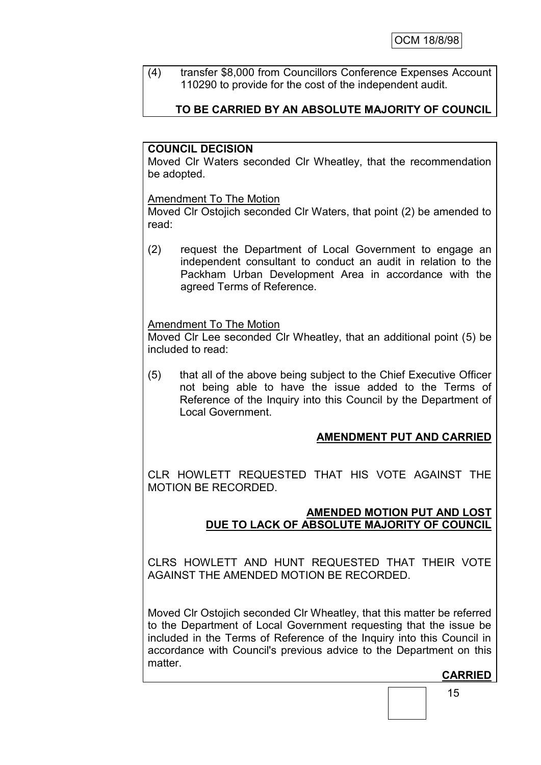(4) transfer \$8,000 from Councillors Conference Expenses Account 110290 to provide for the cost of the independent audit.

# **TO BE CARRIED BY AN ABSOLUTE MAJORITY OF COUNCIL**

### **COUNCIL DECISION**

Moved Clr Waters seconded Clr Wheatley, that the recommendation be adopted.

### Amendment To The Motion

Moved Clr Ostojich seconded Clr Waters, that point (2) be amended to read:

(2) request the Department of Local Government to engage an independent consultant to conduct an audit in relation to the Packham Urban Development Area in accordance with the agreed Terms of Reference.

### Amendment To The Motion

Moved Clr Lee seconded Clr Wheatley, that an additional point (5) be included to read:

(5) that all of the above being subject to the Chief Executive Officer not being able to have the issue added to the Terms of Reference of the Inquiry into this Council by the Department of Local Government.

# **AMENDMENT PUT AND CARRIED**

CLR HOWLETT REQUESTED THAT HIS VOTE AGAINST THE MOTION BE RECORDED.

### **AMENDED MOTION PUT AND LOST DUE TO LACK OF ABSOLUTE MAJORITY OF COUNCIL**

CLRS HOWLETT AND HUNT REQUESTED THAT THEIR VOTE AGAINST THE AMENDED MOTION BE RECORDED.

Moved Clr Ostojich seconded Clr Wheatley, that this matter be referred to the Department of Local Government requesting that the issue be included in the Terms of Reference of the Inquiry into this Council in accordance with Council's previous advice to the Department on this matter.

**CARRIED**

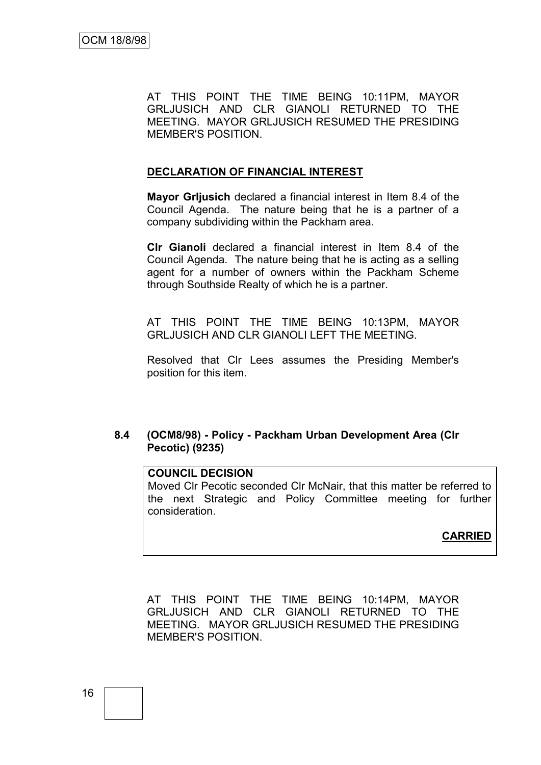AT THIS POINT THE TIME BEING 10:11PM, MAYOR GRLJUSICH AND CLR GIANOLI RETURNED TO THE MEETING. MAYOR GRLJUSICH RESUMED THE PRESIDING MEMBER'S POSITION.

### **DECLARATION OF FINANCIAL INTEREST**

**Mayor Grljusich** declared a financial interest in Item 8.4 of the Council Agenda. The nature being that he is a partner of a company subdividing within the Packham area.

**Clr Gianoli** declared a financial interest in Item 8.4 of the Council Agenda. The nature being that he is acting as a selling agent for a number of owners within the Packham Scheme through Southside Realty of which he is a partner.

AT THIS POINT THE TIME BEING 10:13PM, MAYOR GRLJUSICH AND CLR GIANOLI LEFT THE MEETING.

Resolved that Clr Lees assumes the Presiding Member's position for this item.

### **8.4 (OCM8/98) - Policy - Packham Urban Development Area (Clr Pecotic) (9235)**

### **COUNCIL DECISION**

Moved Clr Pecotic seconded Clr McNair, that this matter be referred to the next Strategic and Policy Committee meeting for further consideration.

### **CARRIED**

AT THIS POINT THE TIME BEING 10:14PM, MAYOR GRLJUSICH AND CLR GIANOLI RETURNED TO THE MEETING. MAYOR GRLJUSICH RESUMED THE PRESIDING MEMBER'S POSITION.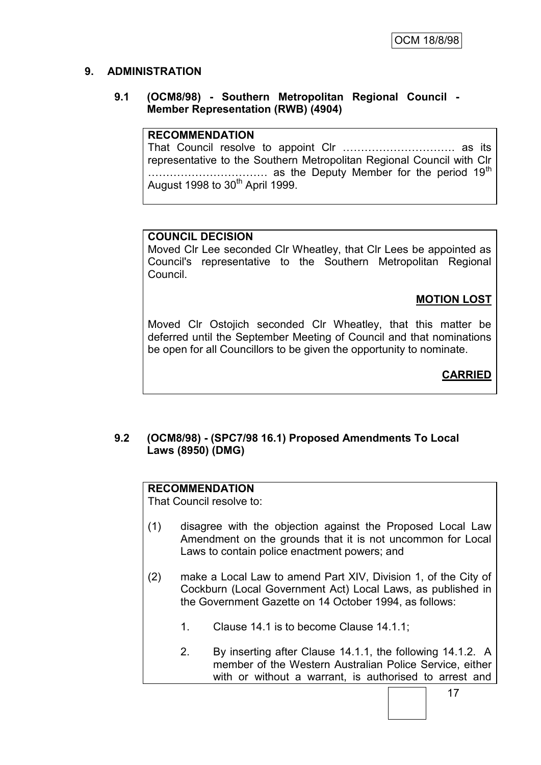# **9. ADMINISTRATION**

### **9.1 (OCM8/98) - Southern Metropolitan Regional Council - Member Representation (RWB) (4904)**

### **RECOMMENDATION**

That Council resolve to appoint Clr …………………………. as its representative to the Southern Metropolitan Regional Council with Clr …………………………… as the Deputy Member for the period 19th August 1998 to  $30<sup>th</sup>$  April 1999.

# **COUNCIL DECISION**

Moved Clr Lee seconded Clr Wheatley, that Clr Lees be appointed as Council's representative to the Southern Metropolitan Regional Council.

# **MOTION LOST**

Moved Clr Ostojich seconded Clr Wheatley, that this matter be deferred until the September Meeting of Council and that nominations be open for all Councillors to be given the opportunity to nominate.

# **CARRIED**

### **9.2 (OCM8/98) - (SPC7/98 16.1) Proposed Amendments To Local Laws (8950) (DMG)**

### **RECOMMENDATION**

That Council resolve to:

- (1) disagree with the objection against the Proposed Local Law Amendment on the grounds that it is not uncommon for Local Laws to contain police enactment powers; and
- (2) make a Local Law to amend Part XIV, Division 1, of the City of Cockburn (Local Government Act) Local Laws, as published in the Government Gazette on 14 October 1994, as follows:
	- 1. Clause 14.1 is to become Clause 14.1.1;
	- 2. By inserting after Clause 14.1.1, the following 14.1.2. A member of the Western Australian Police Service, either with or without a warrant, is authorised to arrest and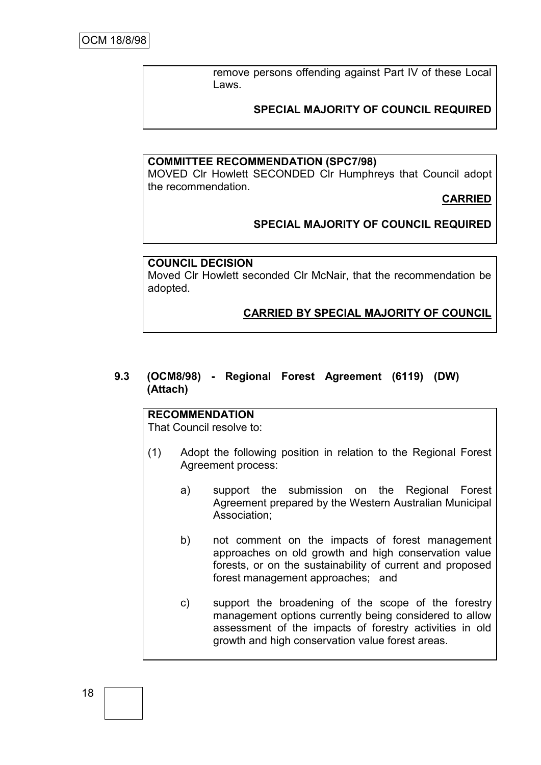remove persons offending against Part IV of these Local Laws.

### **SPECIAL MAJORITY OF COUNCIL REQUIRED**

#### **COMMITTEE RECOMMENDATION (SPC7/98)**

MOVED Clr Howlett SECONDED Clr Humphreys that Council adopt the recommendation.

**CARRIED**

### **SPECIAL MAJORITY OF COUNCIL REQUIRED**

#### **COUNCIL DECISION**

Moved Clr Howlett seconded Clr McNair, that the recommendation be adopted.

#### **CARRIED BY SPECIAL MAJORITY OF COUNCIL**

#### **9.3 (OCM8/98) - Regional Forest Agreement (6119) (DW) (Attach)**

# **RECOMMENDATION**

That Council resolve to:

- (1) Adopt the following position in relation to the Regional Forest Agreement process:
	- a) support the submission on the Regional Forest Agreement prepared by the Western Australian Municipal Association;
	- b) not comment on the impacts of forest management approaches on old growth and high conservation value forests, or on the sustainability of current and proposed forest management approaches; and
	- c) support the broadening of the scope of the forestry management options currently being considered to allow assessment of the impacts of forestry activities in old growth and high conservation value forest areas.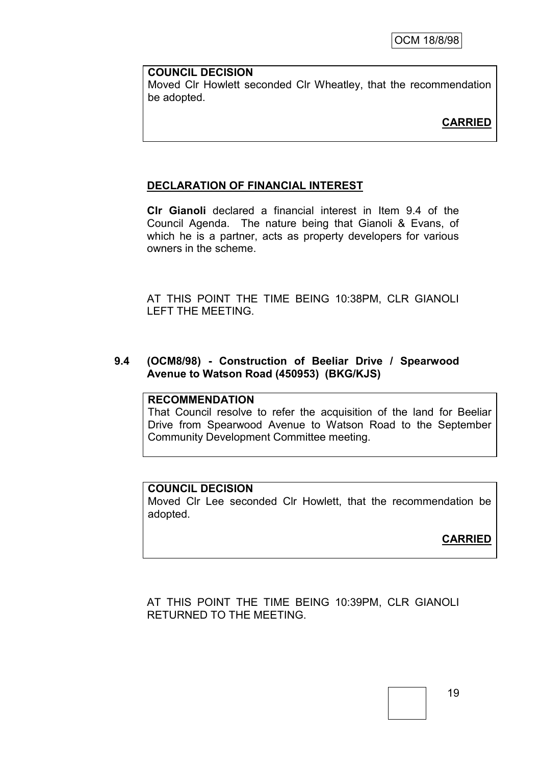#### **COUNCIL DECISION**

Moved Clr Howlett seconded Clr Wheatley, that the recommendation be adopted.

# **CARRIED**

### **DECLARATION OF FINANCIAL INTEREST**

**Clr Gianoli** declared a financial interest in Item 9.4 of the Council Agenda. The nature being that Gianoli & Evans, of which he is a partner, acts as property developers for various owners in the scheme.

AT THIS POINT THE TIME BEING 10:38PM, CLR GIANOLI LEFT THE MEETING.

#### **9.4 (OCM8/98) - Construction of Beeliar Drive / Spearwood Avenue to Watson Road (450953) (BKG/KJS)**

### **RECOMMENDATION**

That Council resolve to refer the acquisition of the land for Beeliar Drive from Spearwood Avenue to Watson Road to the September Community Development Committee meeting.

#### **COUNCIL DECISION**

Moved Clr Lee seconded Clr Howlett, that the recommendation be adopted.

# **CARRIED**

AT THIS POINT THE TIME BEING 10:39PM, CLR GIANOLI RETURNED TO THE MEETING.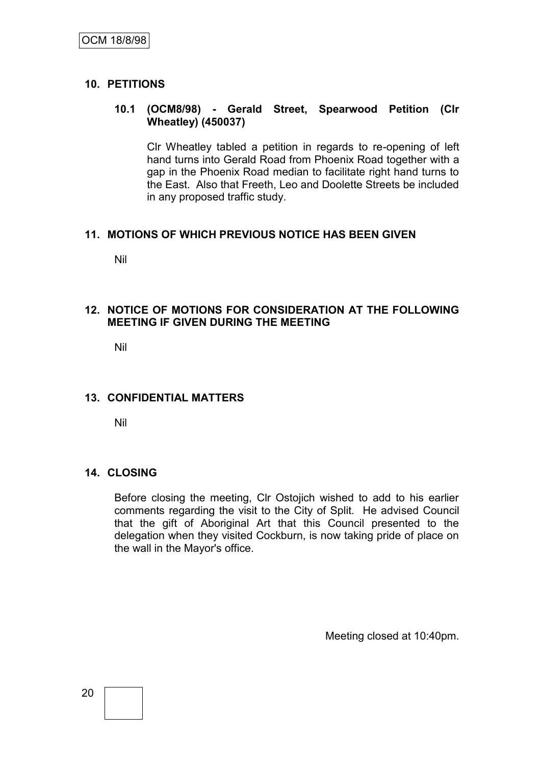### **10. PETITIONS**

### **10.1 (OCM8/98) - Gerald Street, Spearwood Petition (Clr Wheatley) (450037)**

Clr Wheatley tabled a petition in regards to re-opening of left hand turns into Gerald Road from Phoenix Road together with a gap in the Phoenix Road median to facilitate right hand turns to the East. Also that Freeth, Leo and Doolette Streets be included in any proposed traffic study.

### **11. MOTIONS OF WHICH PREVIOUS NOTICE HAS BEEN GIVEN**

Nil

### **12. NOTICE OF MOTIONS FOR CONSIDERATION AT THE FOLLOWING MEETING IF GIVEN DURING THE MEETING**

Nil

### **13. CONFIDENTIAL MATTERS**

Nil

### **14. CLOSING**

Before closing the meeting, Clr Ostojich wished to add to his earlier comments regarding the visit to the City of Split. He advised Council that the gift of Aboriginal Art that this Council presented to the delegation when they visited Cockburn, is now taking pride of place on the wall in the Mayor's office.

Meeting closed at 10:40pm.